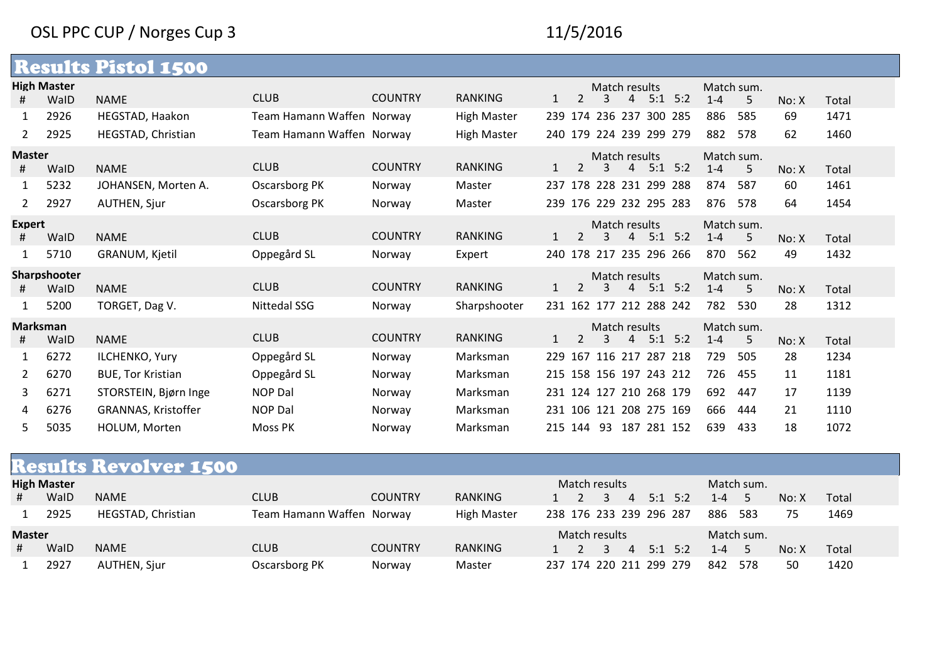## OSL PPC CUP / Norges Cup 3 11/5/2016

|                       |                    | <b>Results Pistol 1500</b> |                           |                |                    |     |                |                         |                |             |                       |     |       |       |
|-----------------------|--------------------|----------------------------|---------------------------|----------------|--------------------|-----|----------------|-------------------------|----------------|-------------|-----------------------|-----|-------|-------|
|                       | <b>High Master</b> | <b>NAME</b>                | <b>CLUB</b>               | <b>COUNTRY</b> | <b>RANKING</b>     |     | $\mathcal{L}$  | Match results<br>3      | $\overline{4}$ | $5:1$ $5:2$ | Match sum.<br>$1 - 4$ |     |       |       |
| Ħ.                    | WalD               |                            |                           |                |                    |     |                |                         |                |             |                       | 5   | No: X | Total |
|                       | 2926               | HEGSTAD, Haakon            | Team Hamann Waffen Norway |                | <b>High Master</b> |     |                | 239 174 236 237 300 285 |                |             | 886                   | 585 | 69    | 1471  |
| $\mathbf{2}$          | 2925               | HEGSTAD, Christian         | Team Hamann Waffen Norway |                | <b>High Master</b> |     |                | 240 179 224 239 299 279 |                |             | 882                   | 578 | 62    | 1460  |
| <b>Master</b>         |                    |                            | <b>CLUB</b>               | <b>COUNTRY</b> | <b>RANKING</b>     |     |                | Match results           |                |             | Match sum.            |     |       |       |
| #                     | WalD               | <b>NAME</b>                |                           |                |                    |     | $\overline{2}$ | 3                       | $\overline{4}$ | $5:1$ $5:2$ | $1 - 4$               | 5   | No: X | Total |
|                       | 5232               | JOHANSEN, Morten A.        | Oscarsborg PK             | Norway         | Master             |     |                | 237 178 228 231 299 288 |                |             | 874                   | 587 | 60    | 1461  |
| $\mathbf{2}^{\prime}$ | 2927               | AUTHEN, Sjur               | Oscarsborg PK             | Norway         | Master             |     |                | 239 176 229 232 295 283 |                |             | 876                   | 578 | 64    | 1454  |
| <b>Expert</b>         |                    |                            |                           |                |                    |     |                | Match results           |                |             | Match sum.            |     |       |       |
| #                     | WalD               | <b>NAME</b>                | <b>CLUB</b>               | <b>COUNTRY</b> | <b>RANKING</b>     |     | $\overline{2}$ | 3                       | $\overline{4}$ | $5:1$ 5:2   | $1 - 4$               | 5   | No: X | Total |
|                       | 5710               | GRANUM, Kjetil             | Oppegård SL               | Norway         | Expert             |     |                | 240 178 217 235 296 266 |                |             | 870                   | 562 | 49    | 1432  |
|                       | Sharpshooter       |                            |                           |                |                    |     |                | Match results           |                |             | Match sum.            |     |       |       |
| #                     | WalD               | <b>NAME</b>                | <b>CLUB</b>               | <b>COUNTRY</b> | <b>RANKING</b>     |     | 2              | 3                       |                | $4$ 5:1 5:2 | $1 - 4$               | 5   | No: X | Total |
|                       | 5200               | TORGET, Dag V.             | <b>Nittedal SSG</b>       | Norway         | Sharpshooter       |     |                | 231 162 177 212 288 242 |                |             | 782                   | 530 | 28    | 1312  |
| <b>Marksman</b>       |                    |                            |                           |                |                    |     |                | Match results           |                |             | Match sum.            |     |       |       |
| #                     | WalD               | <b>NAME</b>                | <b>CLUB</b>               | <b>COUNTRY</b> | <b>RANKING</b>     |     | 2              | 3                       |                | $4$ 5:1 5:2 | $1 - 4$               | 5   | No: X | Total |
|                       | 6272               | <b>ILCHENKO, Yury</b>      | Oppegård SL               | Norway         | Marksman           | 229 |                | 167 116 217 287 218     |                |             | 729                   | 505 | 28    | 1234  |
| $\mathbf{2}^{\prime}$ | 6270               | <b>BUE, Tor Kristian</b>   | Oppegård SL               | Norway         | Marksman           |     |                | 215 158 156 197 243 212 |                |             | 726                   | 455 | 11    | 1181  |
| 3                     | 6271               | STORSTEIN, Bjørn Inge      | <b>NOP Dal</b>            | Norway         | Marksman           |     |                | 231 124 127 210 268 179 |                |             | 692                   | 447 | 17    | 1139  |
| 4                     | 6276               | GRANNAS, Kristoffer        | <b>NOP Dal</b>            | Norway         | Marksman           |     |                | 231 106 121 208 275 169 |                |             | 666                   | 444 | 21    | 1110  |
| 5.                    | 5035               | HOLUM, Morten              | Moss PK                   | Norway         | Marksman           |     |                | 215 144 93 187 281 152  |                |             | 639                   | 433 | 18    | 1072  |

| <b>Results Revolver 1500</b> |                    |                    |                           |                |                    |               |  |               |                         |  |  |            |             |       |       |  |
|------------------------------|--------------------|--------------------|---------------------------|----------------|--------------------|---------------|--|---------------|-------------------------|--|--|------------|-------------|-------|-------|--|
|                              | <b>High Master</b> |                    |                           |                |                    |               |  | Match results |                         |  |  |            | Match sum.  |       |       |  |
|                              | WalD               | <b>NAME</b>        | <b>CLUB</b>               | <b>COUNTRY</b> | RANKING            |               |  |               | 1 2 3 4 5:1 5:2         |  |  | $1 - 4$    | - 5         | No: X | Total |  |
|                              | 2925               | HEGSTAD, Christian | Team Hamann Waffen Norway |                | <b>High Master</b> |               |  |               | 238 176 233 239 296 287 |  |  | 886        | 583         | 75    | 1469  |  |
|                              | <b>Master</b>      |                    |                           |                |                    | Match results |  |               |                         |  |  | Match sum. |             |       |       |  |
|                              | WalD               | <b>NAME</b>        | <b>CLUB</b>               | <b>COUNTRY</b> | <b>RANKING</b>     |               |  |               | 1 2 3 4 5:1 5:2         |  |  | $1 - 4$    | $5^{\circ}$ | No: X | Total |  |
|                              | 2927               | AUTHEN, Sjur       | Oscarsborg PK             | Norway         | Master             |               |  |               | 237 174 220 211 299 279 |  |  | 842        | 578         | 50    | 1420  |  |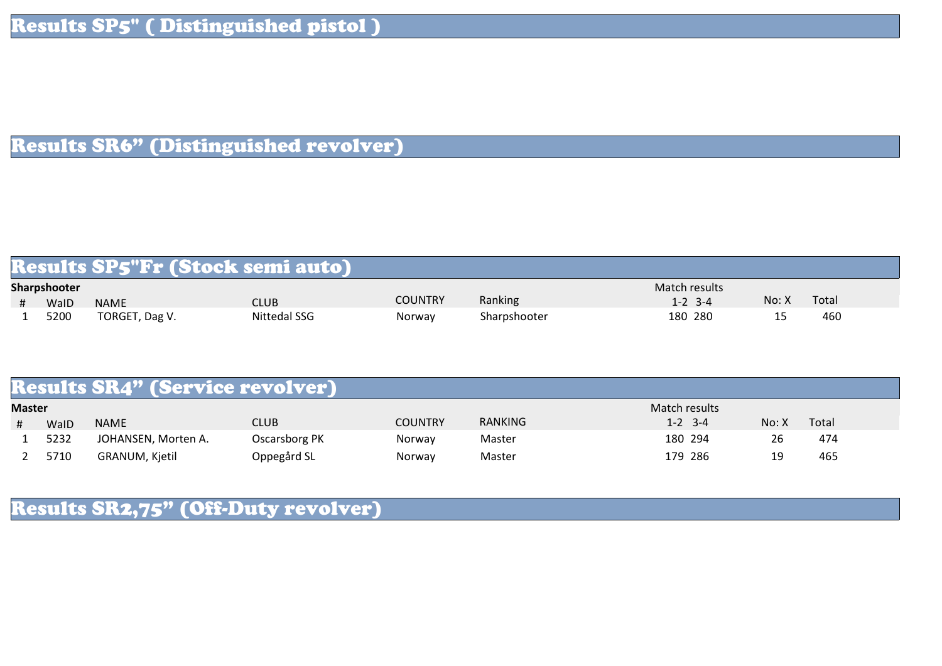## Results SR6" (Distinguished revolver)

| Results SP5"Fr (Stock semi auto) |                     |                |                     |         |              |               |       |       |  |  |  |  |
|----------------------------------|---------------------|----------------|---------------------|---------|--------------|---------------|-------|-------|--|--|--|--|
|                                  | <b>Sharpshooter</b> |                |                     |         |              | Match results |       |       |  |  |  |  |
|                                  | WaID                | <b>NAME</b>    | CLUB                | COUNTRY | Ranking      | $1 - 2$ 3-4   | No: X | Total |  |  |  |  |
|                                  | 5200                | TORGET, Dag V. | <b>Nittedal SSG</b> | Norway  | Sharpshooter | 180 280       | --    | 460   |  |  |  |  |

| <b>Results SR4" (Service revolver)</b> |      |                     |               |                |         |               |       |       |  |  |  |  |
|----------------------------------------|------|---------------------|---------------|----------------|---------|---------------|-------|-------|--|--|--|--|
| <b>Master</b>                          |      |                     |               |                |         | Match results |       |       |  |  |  |  |
|                                        | WalD | <b>NAME</b>         | CLUB          | <b>COUNTRY</b> | RANKING | $1 - 2$ 3-4   | No: X | Total |  |  |  |  |
|                                        | 5232 | JOHANSEN, Morten A. | Oscarsborg PK | Norway         | Master  | 180 294       | 26    | 474   |  |  |  |  |
|                                        | 5710 | GRANUM, Kjetil      | Oppegård SL   | Norway         | Master  | 179 286       | 19    | 465   |  |  |  |  |

## Results SR2,75" (Off-Duty revolver)